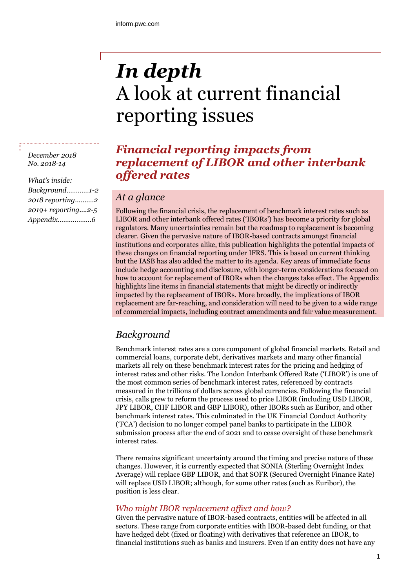# *In depth* A look at current financial reporting issues

# *Financial reporting impacts from replacement of LIBOR and other interbank offered rates*

## *At a glance*

Following the financial crisis, the replacement of benchmark interest rates such as LIBOR and other interbank offered rates ('IBORs') has become a priority for global regulators. Many uncertainties remain but the roadmap to replacement is becoming clearer. Given the pervasive nature of IBOR-based contracts amongst financial institutions and corporates alike, this publication highlights the potential impacts of these changes on financial reporting under IFRS. This is based on current thinking but the IASB has also added the matter to its agenda. Key areas of immediate focus include hedge accounting and disclosure, with longer-term considerations focused on how to account for replacement of IBORs when the changes take effect. The Appendix highlights line items in financial statements that might be directly or indirectly impacted by the replacement of IBORs. More broadly, the implications of IBOR replacement are far-reaching, and consideration will need to be given to a wide range of commercial impacts, including contract amendments and fair value measurement.

# *Background*

Benchmark interest rates are a core component of global financial markets. Retail and commercial loans, corporate debt, derivatives markets and many other financial markets all rely on these benchmark interest rates for the pricing and hedging of interest rates and other risks. The London Interbank Offered Rate ('LIBOR') is one of the most common series of benchmark interest rates, referenced by contracts measured in the trillions of dollars across global currencies. Following the financial crisis, calls grew to reform the process used to price LIBOR (including USD LIBOR, JPY LIBOR, CHF LIBOR and GBP LIBOR), other IBORs such as Euribor, and other benchmark interest rates. This culminated in the UK Financial Conduct Authority ('FCA') decision to no longer compel panel banks to participate in the LIBOR submission process after the end of 2021 and to cease oversight of these benchmark interest rates.

There remains significant uncertainty around the timing and precise nature of these changes. However, it is currently expected that SONIA (Sterling Overnight Index Average) will replace GBP LIBOR, and that SOFR (Secured Overnight Finance Rate) will replace USD LIBOR; although, for some other rates (such as Euribor), the position is less clear.

#### *Who might IBOR replacement affect and how?*

Given the pervasive nature of IBOR-based contracts, entities will be affected in all sectors. These range from corporate entities with IBOR-based debt funding, or that have hedged debt (fixed or floating) with derivatives that reference an IBOR, to financial institutions such as banks and insurers. Even if an entity does not have any

*December 2018 No. 2018-14*

*What's inside: Background…………1-2 2018 reporting……….2 2019+ reporting....2-5 Appendix……..……….6*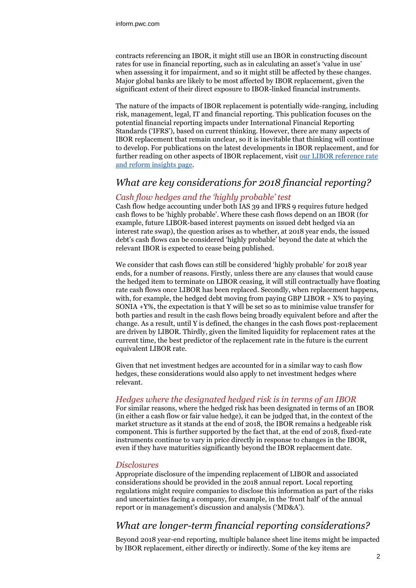contracts referencing an IBOR, it might still use an IBOR in constructing discount rates for use in financial reporting, such as in calculating an asset's 'value in use' when assessing it for impairment, and so it might still be affected by these changes. Major global banks are likely to be most affected by IBOR replacement, given the significant extent of their direct exposure to IBOR-linked financial instruments.

The nature of the impacts of IBOR replacement is potentially wide-ranging, including risk, management, legal, IT and financial reporting. This publication focuses on the potential financial reporting impacts under International Financial Reporting Standards ('IFRS'), based on current thinking. However, there are many aspects of IBOR replacement that remain unclear, so it is inevitable that thinking will continue to develop. For publications on the latest developments in IBOR replacement, and for further reading on other aspects of IBOR replacement, visit our LIBOR reference rate [and reform insights page.](https://www.pwc.com/gx/en/industries/capital-projects-infrastructure/publications/libor-reference-rate-reform.html)

## *What are key considerations for 2018 financial reporting?*

#### *Cash flow hedges and the 'highly probable' test*

Cash flow hedge accounting under both IAS 39 and IFRS 9 requires future hedged cash flows to be 'highly probable'. Where these cash flows depend on an IBOR (for example, future LIBOR-based interest payments on issued debt hedged via an interest rate swap), the question arises as to whether, at 2018 year ends, the issued debt's cash flows can be considered 'highly probable' beyond the date at which the relevant IBOR is expected to cease being published.

We consider that cash flows can still be considered 'highly probable' for 2018 year ends, for a number of reasons. Firstly, unless there are any clauses that would cause the hedged item to terminate on LIBOR ceasing, it will still contractually have floating rate cash flows once LIBOR has been replaced. Secondly, when replacement happens, with, for example, the hedged debt moving from paying GBP LIBOR  $+$  X% to paying SONIA +Y%, the expectation is that Y will be set so as to minimise value transfer for both parties and result in the cash flows being broadly equivalent before and after the change. As a result, until Y is defined, the changes in the cash flows post-replacement are driven by LIBOR. Thirdly, given the limited liquidity for replacement rates at the current time, the best predictor of the replacement rate in the future is the current equivalent LIBOR rate.

Given that net investment hedges are accounted for in a similar way to cash flow hedges, these considerations would also apply to net investment hedges where relevant.

#### *Hedges where the designated hedged risk is in terms of an IBOR*

For similar reasons, where the hedged risk has been designated in terms of an IBOR (in either a cash flow or fair value hedge), it can be judged that, in the context of the market structure as it stands at the end of 2018, the IBOR remains a hedgeable risk component. This is further supported by the fact that, at the end of 2018, fixed-rate instruments continue to vary in price directly in response to changes in the IBOR, even if they have maturities significantly beyond the IBOR replacement date.

#### *Disclosures*

Appropriate disclosure of the impending replacement of LIBOR and associated considerations should be provided in the 2018 annual report. Local reporting regulations might require companies to disclose this information as part of the risks and uncertainties facing a company, for example, in the 'front half' of the annual report or in management's discussion and analysis ('MD&A').

## *What are longer-term financial reporting considerations?*

Beyond 2018 year-end reporting, multiple balance sheet line items might be impacted by IBOR replacement, either directly or indirectly. Some of the key items are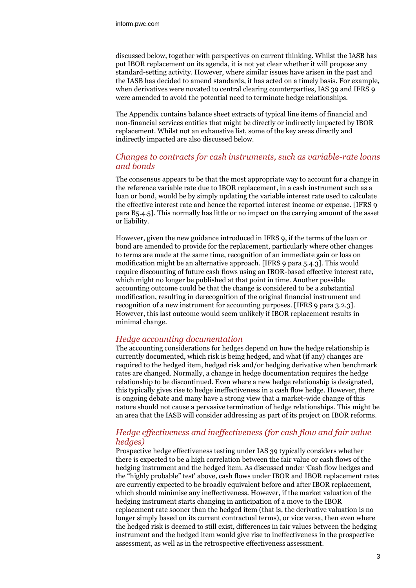discussed below, together with perspectives on current thinking. Whilst the IASB has put IBOR replacement on its agenda, it is not yet clear whether it will propose any standard-setting activity. However, where similar issues have arisen in the past and the IASB has decided to amend standards, it has acted on a timely basis. For example, when derivatives were novated to central clearing counterparties, IAS 39 and IFRS 9 were amended to avoid the potential need to terminate hedge relationships.

The Appendix contains balance sheet extracts of typical line items of financial and non-financial services entities that might be directly or indirectly impacted by IBOR replacement. Whilst not an exhaustive list, some of the key areas directly and indirectly impacted are also discussed below.

#### *Changes to contracts for cash instruments, such as variable-rate loans and bonds*

The consensus appears to be that the most appropriate way to account for a change in the reference variable rate due to IBOR replacement, in a cash instrument such as a loan or bond, would be by simply updating the variable interest rate used to calculate the effective interest rate and hence the reported interest income or expense. [IFRS 9 para B5.4.5]. This normally has little or no impact on the carrying amount of the asset or liability.

However, given the new guidance introduced in IFRS 9, if the terms of the loan or bond are amended to provide for the replacement, particularly where other changes to terms are made at the same time, recognition of an immediate gain or loss on modification might be an alternative approach. [IFRS 9 para 5.4.3]. This would require discounting of future cash flows using an IBOR-based effective interest rate, which might no longer be published at that point in time. Another possible accounting outcome could be that the change is considered to be a substantial modification, resulting in derecognition of the original financial instrument and recognition of a new instrument for accounting purposes. [IFRS 9 para 3.2.3]. However, this last outcome would seem unlikely if IBOR replacement results in minimal change.

#### *Hedge accounting documentation*

The accounting considerations for hedges depend on how the hedge relationship is currently documented, which risk is being hedged, and what (if any) changes are required to the hedged item, hedged risk and/or hedging derivative when benchmark rates are changed. Normally, a change in hedge documentation requires the hedge relationship to be discontinued. Even where a new hedge relationship is designated, this typically gives rise to hedge ineffectiveness in a cash flow hedge. However, there is ongoing debate and many have a strong view that a market-wide change of this nature should not cause a pervasive termination of hedge relationships. This might be an area that the IASB will consider addressing as part of its project on IBOR reforms.

#### *Hedge effectiveness and ineffectiveness (for cash flow and fair value hedges)*

Prospective hedge effectiveness testing under IAS 39 typically considers whether there is expected to be a high correlation between the fair value or cash flows of the hedging instrument and the hedged item. As discussed under 'Cash flow hedges and the "highly probable" test' above, cash flows under IBOR and IBOR replacement rates are currently expected to be broadly equivalent before and after IBOR replacement, which should minimise any ineffectiveness. However, if the market valuation of the hedging instrument starts changing in anticipation of a move to the IBOR replacement rate sooner than the hedged item (that is, the derivative valuation is no longer simply based on its current contractual terms), or vice versa, then even where the hedged risk is deemed to still exist, differences in fair values between the hedging instrument and the hedged item would give rise to ineffectiveness in the prospective assessment, as well as in the retrospective effectiveness assessment.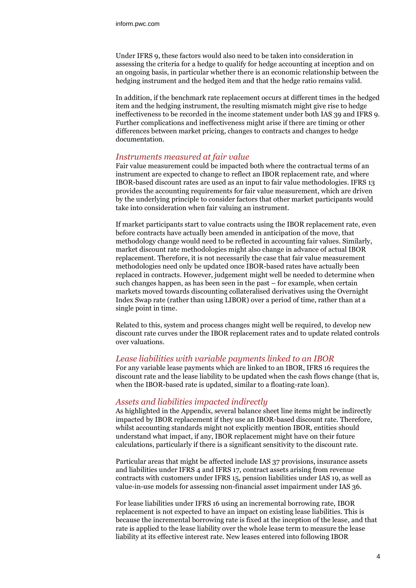Under IFRS 9, these factors would also need to be taken into consideration in assessing the criteria for a hedge to qualify for hedge accounting at inception and on an ongoing basis, in particular whether there is an economic relationship between the hedging instrument and the hedged item and that the hedge ratio remains valid.

In addition, if the benchmark rate replacement occurs at different times in the hedged item and the hedging instrument, the resulting mismatch might give rise to hedge ineffectiveness to be recorded in the income statement under both IAS 39 and IFRS 9. Further complications and ineffectiveness might arise if there are timing or other differences between market pricing, changes to contracts and changes to hedge documentation.

#### *Instruments measured at fair value*

Fair value measurement could be impacted both where the contractual terms of an instrument are expected to change to reflect an IBOR replacement rate, and where IBOR-based discount rates are used as an input to fair value methodologies. IFRS 13 provides the accounting requirements for fair value measurement, which are driven by the underlying principle to consider factors that other market participants would take into consideration when fair valuing an instrument.

If market participants start to value contracts using the IBOR replacement rate, even before contracts have actually been amended in anticipation of the move, that methodology change would need to be reflected in accounting fair values. Similarly, market discount rate methodologies might also change in advance of actual IBOR replacement. Therefore, it is not necessarily the case that fair value measurement methodologies need only be updated once IBOR-based rates have actually been replaced in contracts. However, judgement might well be needed to determine when such changes happen, as has been seen in the past – for example, when certain markets moved towards discounting collateralised derivatives using the Overnight Index Swap rate (rather than using LIBOR) over a period of time, rather than at a single point in time.

Related to this, system and process changes might well be required, to develop new discount rate curves under the IBOR replacement rates and to update related controls over valuations.

#### *Lease liabilities with variable payments linked to an IBOR*

For any variable lease payments which are linked to an IBOR, IFRS 16 requires the discount rate and the lease liability to be updated when the cash flows change (that is, when the IBOR-based rate is updated, similar to a floating-rate loan).

#### *Assets and liabilities impacted indirectly*

As highlighted in the Appendix, several balance sheet line items might be indirectly impacted by IBOR replacement if they use an IBOR-based discount rate. Therefore, whilst accounting standards might not explicitly mention IBOR, entities should understand what impact, if any, IBOR replacement might have on their future calculations, particularly if there is a significant sensitivity to the discount rate.

Particular areas that might be affected include IAS 37 provisions, insurance assets and liabilities under IFRS 4 and IFRS 17, contract assets arising from revenue contracts with customers under IFRS 15, pension liabilities under IAS 19, as well as value-in-use models for assessing non-financial asset impairment under IAS 36.

For lease liabilities under IFRS 16 using an incremental borrowing rate, IBOR replacement is not expected to have an impact on existing lease liabilities. This is because the incremental borrowing rate is fixed at the inception of the lease, and that rate is applied to the lease liability over the whole lease term to measure the lease liability at its effective interest rate. New leases entered into following IBOR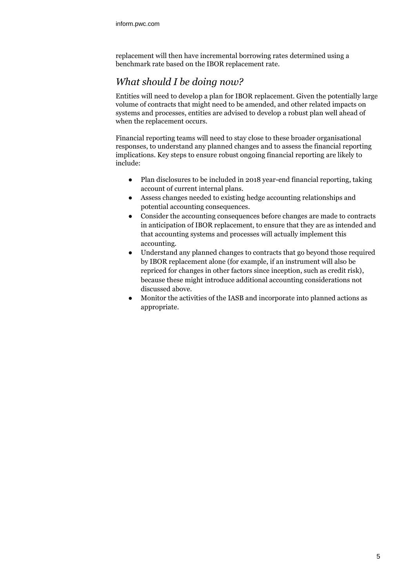replacement will then have incremental borrowing rates determined using a benchmark rate based on the IBOR replacement rate.

# *What should I be doing now?*

Entities will need to develop a plan for IBOR replacement. Given the potentially large volume of contracts that might need to be amended, and other related impacts on systems and processes, entities are advised to develop a robust plan well ahead of when the replacement occurs.

Financial reporting teams will need to stay close to these broader organisational responses, to understand any planned changes and to assess the financial reporting implications. Key steps to ensure robust ongoing financial reporting are likely to include:

- Plan disclosures to be included in 2018 year-end financial reporting, taking account of current internal plans.
- Assess changes needed to existing hedge accounting relationships and potential accounting consequences.
- Consider the accounting consequences before changes are made to contracts in anticipation of IBOR replacement, to ensure that they are as intended and that accounting systems and processes will actually implement this accounting.
- Understand any planned changes to contracts that go beyond those required by IBOR replacement alone (for example, if an instrument will also be repriced for changes in other factors since inception, such as credit risk), because these might introduce additional accounting considerations not discussed above.
- Monitor the activities of the IASB and incorporate into planned actions as appropriate.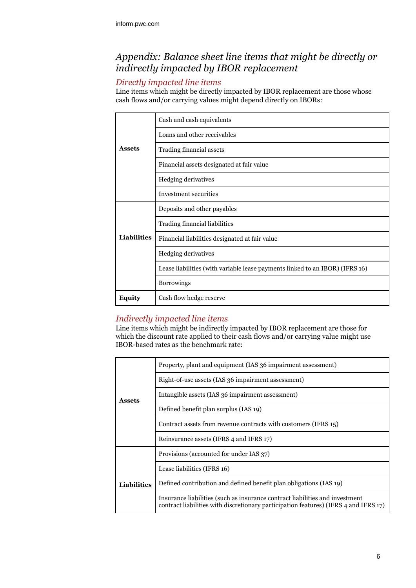# *Appendix: Balance sheet line items that might be directly or indirectly impacted by IBOR replacement*

## *Directly impacted line items*

Line items which might be directly impacted by IBOR replacement are those whose cash flows and/or carrying values might depend directly on IBORs:

|               | Cash and cash equivalents                                                    |
|---------------|------------------------------------------------------------------------------|
| <b>Assets</b> | Loans and other receivables                                                  |
|               | Trading financial assets                                                     |
|               | Financial assets designated at fair value                                    |
|               | Hedging derivatives                                                          |
|               | Investment securities                                                        |
| Liabilities   | Deposits and other payables                                                  |
|               | Trading financial liabilities                                                |
|               | Financial liabilities designated at fair value                               |
|               | Hedging derivatives                                                          |
|               | Lease liabilities (with variable lease payments linked to an IBOR) (IFRS 16) |
|               | Borrowings                                                                   |
| <b>Equity</b> | Cash flow hedge reserve                                                      |

## *Indirectly impacted line items*

Line items which might be indirectly impacted by IBOR replacement are those for which the discount rate applied to their cash flows and/or carrying value might use IBOR-based rates as the benchmark rate:

| <b>Assets</b>      | Property, plant and equipment (IAS 36 impairment assessment)                                                                                                         |
|--------------------|----------------------------------------------------------------------------------------------------------------------------------------------------------------------|
|                    | Right-of-use assets (IAS 36 impairment assessment)                                                                                                                   |
|                    | Intangible assets (IAS 36 impairment assessment)                                                                                                                     |
|                    | Defined benefit plan surplus (IAS 19)                                                                                                                                |
|                    | Contract assets from revenue contracts with customers (IFRS 15)                                                                                                      |
|                    | Reinsurance assets (IFRS 4 and IFRS 17)                                                                                                                              |
| <b>Liabilities</b> | Provisions (accounted for under IAS 37)                                                                                                                              |
|                    | Lease liabilities (IFRS 16)                                                                                                                                          |
|                    | Defined contribution and defined benefit plan obligations (IAS 19)                                                                                                   |
|                    | Insurance liabilities (such as insurance contract liabilities and investment<br>contract liabilities with discretionary participation features) (IFRS 4 and IFRS 17) |